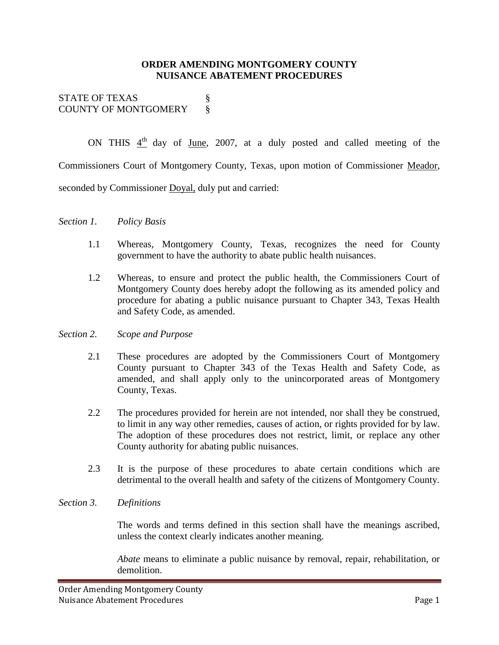### **ORDER AMENDING MONTGOMERY COUNTY NUISANCE ABATEMENT PROCEDURES**

STATE OF TEXAS § COUNTY OF MONTGOMERY 8

ON THIS  $4<sup>th</sup>$  day of June, 2007, at a duly posted and called meeting of the Commissioners Court of Montgomery County, Texas, upon motion of Commissioner Meador, seconded by Commissioner Doyal, duly put and carried:

#### *Section 1. Policy Basis*

- 1.1 Whereas, Montgomery County, Texas, recognizes the need for County government to have the authority to abate public health nuisances.
- 1.2 Whereas, to ensure and protect the public health, the Commissioners Court of Montgomery County does hereby adopt the following as its amended policy and procedure for abating a public nuisance pursuant to Chapter 343, Texas Health and Safety Code, as amended.

#### *Section 2. Scope and Purpose*

- 2.1 These procedures are adopted by the Commissioners Court of Montgomery County pursuant to Chapter 343 of the Texas Health and Safety Code, as amended, and shall apply only to the unincorporated areas of Montgomery County, Texas.
- 2.2 The procedures provided for herein are not intended, nor shall they be construed, to limit in any way other remedies, causes of action, or rights provided for by law. The adoption of these procedures does not restrict, limit, or replace any other County authority for abating public nuisances.
- 2.3 It is the purpose of these procedures to abate certain conditions which are detrimental to the overall health and safety of the citizens of Montgomery County.

#### *Section 3. Definitions*

The words and terms defined in this section shall have the meanings ascribed, unless the context clearly indicates another meaning.

*Abate* means to eliminate a public nuisance by removal, repair, rehabilitation, or demolition.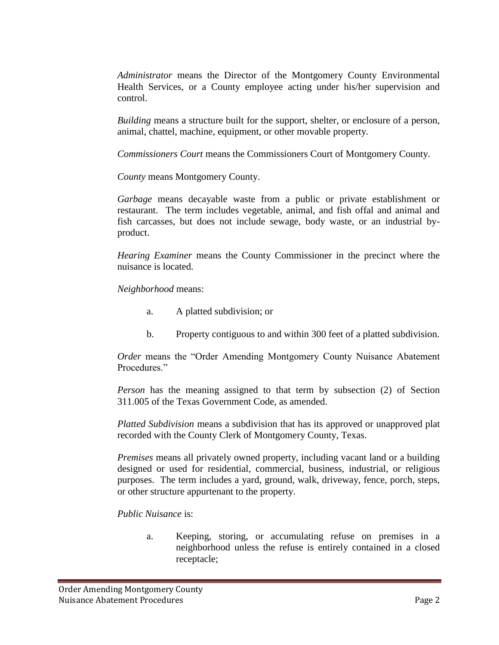*Administrator* means the Director of the Montgomery County Environmental Health Services, or a County employee acting under his/her supervision and control.

*Building* means a structure built for the support, shelter, or enclosure of a person, animal, chattel, machine, equipment, or other movable property.

*Commissioners Court* means the Commissioners Court of Montgomery County.

*County* means Montgomery County.

*Garbage* means decayable waste from a public or private establishment or restaurant. The term includes vegetable, animal, and fish offal and animal and fish carcasses, but does not include sewage, body waste, or an industrial byproduct.

*Hearing Examiner* means the County Commissioner in the precinct where the nuisance is located.

*Neighborhood* means:

- a. A platted subdivision; or
- b. Property contiguous to and within 300 feet of a platted subdivision.

*Order* means the "Order Amending Montgomery County Nuisance Abatement Procedures."

*Person* has the meaning assigned to that term by subsection (2) of Section 311.005 of the Texas Government Code, as amended.

*Platted Subdivision* means a subdivision that has its approved or unapproved plat recorded with the County Clerk of Montgomery County, Texas.

*Premises* means all privately owned property, including vacant land or a building designed or used for residential, commercial, business, industrial, or religious purposes. The term includes a yard, ground, walk, driveway, fence, porch, steps, or other structure appurtenant to the property.

*Public Nuisance* is:

a. Keeping, storing, or accumulating refuse on premises in a neighborhood unless the refuse is entirely contained in a closed receptacle;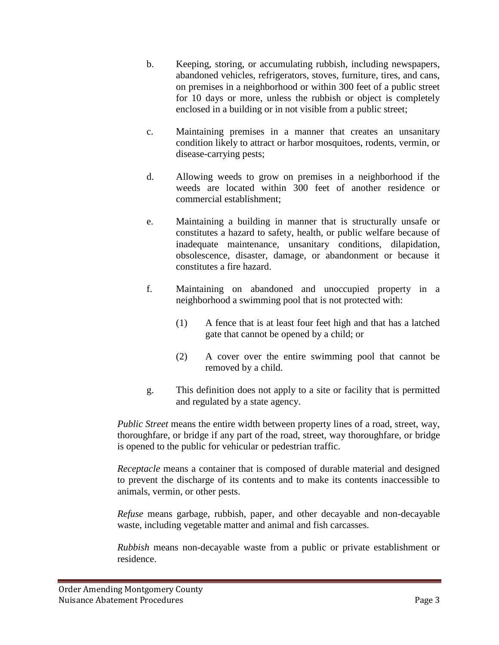- b. Keeping, storing, or accumulating rubbish, including newspapers, abandoned vehicles, refrigerators, stoves, furniture, tires, and cans, on premises in a neighborhood or within 300 feet of a public street for 10 days or more, unless the rubbish or object is completely enclosed in a building or in not visible from a public street;
- c. Maintaining premises in a manner that creates an unsanitary condition likely to attract or harbor mosquitoes, rodents, vermin, or disease-carrying pests;
- d. Allowing weeds to grow on premises in a neighborhood if the weeds are located within 300 feet of another residence or commercial establishment;
- e. Maintaining a building in manner that is structurally unsafe or constitutes a hazard to safety, health, or public welfare because of inadequate maintenance, unsanitary conditions, dilapidation, obsolescence, disaster, damage, or abandonment or because it constitutes a fire hazard.
- f. Maintaining on abandoned and unoccupied property in a neighborhood a swimming pool that is not protected with:
	- (1) A fence that is at least four feet high and that has a latched gate that cannot be opened by a child; or
	- (2) A cover over the entire swimming pool that cannot be removed by a child.
- g. This definition does not apply to a site or facility that is permitted and regulated by a state agency.

*Public Street* means the entire width between property lines of a road, street, way, thoroughfare, or bridge if any part of the road, street, way thoroughfare, or bridge is opened to the public for vehicular or pedestrian traffic.

*Receptacle* means a container that is composed of durable material and designed to prevent the discharge of its contents and to make its contents inaccessible to animals, vermin, or other pests.

*Refuse* means garbage, rubbish, paper, and other decayable and non-decayable waste, including vegetable matter and animal and fish carcasses.

*Rubbish* means non-decayable waste from a public or private establishment or residence.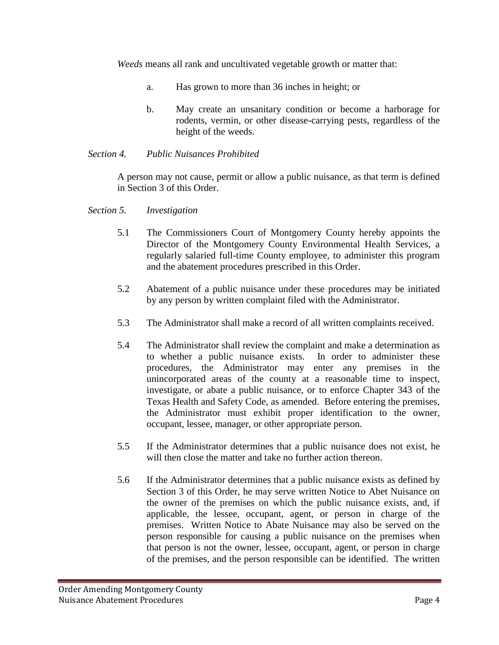*Weeds* means all rank and uncultivated vegetable growth or matter that:

- a. Has grown to more than 36 inches in height; or
- b. May create an unsanitary condition or become a harborage for rodents, vermin, or other disease-carrying pests, regardless of the height of the weeds.

### *Section 4. Public Nuisances Prohibited*

A person may not cause, permit or allow a public nuisance, as that term is defined in Section 3 of this Order.

### *Section 5. Investigation*

- 5.1 The Commissioners Court of Montgomery County hereby appoints the Director of the Montgomery County Environmental Health Services, a regularly salaried full-time County employee, to administer this program and the abatement procedures prescribed in this Order.
- 5.2 Abatement of a public nuisance under these procedures may be initiated by any person by written complaint filed with the Administrator.
- 5.3 The Administrator shall make a record of all written complaints received.
- 5.4 The Administrator shall review the complaint and make a determination as to whether a public nuisance exists. In order to administer these procedures, the Administrator may enter any premises in the unincorporated areas of the county at a reasonable time to inspect, investigate, or abate a public nuisance, or to enforce Chapter 343 of the Texas Health and Safety Code, as amended. Before entering the premises, the Administrator must exhibit proper identification to the owner, occupant, lessee, manager, or other appropriate person.
- 5.5 If the Administrator determines that a public nuisance does not exist, he will then close the matter and take no further action thereon.
- 5.6 If the Administrator determines that a public nuisance exists as defined by Section 3 of this Order, he may serve written Notice to Abet Nuisance on the owner of the premises on which the public nuisance exists, and, if applicable, the lessee, occupant, agent, or person in charge of the premises. Written Notice to Abate Nuisance may also be served on the person responsible for causing a public nuisance on the premises when that person is not the owner, lessee, occupant, agent, or person in charge of the premises, and the person responsible can be identified. The written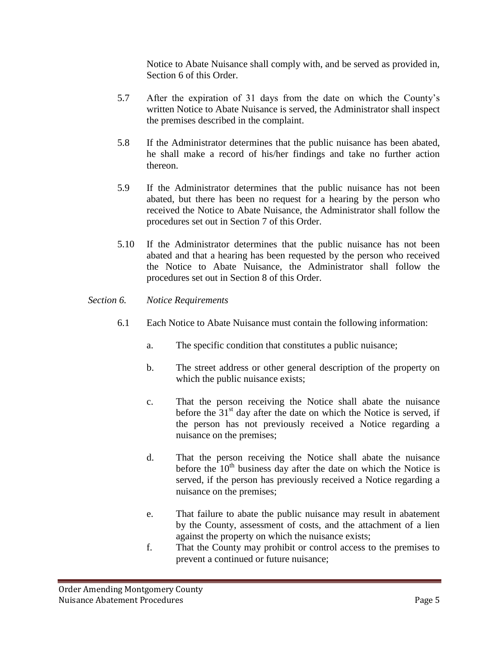Notice to Abate Nuisance shall comply with, and be served as provided in, Section 6 of this Order.

- 5.7 After the expiration of 31 days from the date on which the County's written Notice to Abate Nuisance is served, the Administrator shall inspect the premises described in the complaint.
- 5.8 If the Administrator determines that the public nuisance has been abated, he shall make a record of his/her findings and take no further action thereon.
- 5.9 If the Administrator determines that the public nuisance has not been abated, but there has been no request for a hearing by the person who received the Notice to Abate Nuisance, the Administrator shall follow the procedures set out in Section 7 of this Order.
- 5.10 If the Administrator determines that the public nuisance has not been abated and that a hearing has been requested by the person who received the Notice to Abate Nuisance, the Administrator shall follow the procedures set out in Section 8 of this Order.

### *Section 6. Notice Requirements*

- 6.1 Each Notice to Abate Nuisance must contain the following information:
	- a. The specific condition that constitutes a public nuisance;
	- b. The street address or other general description of the property on which the public nuisance exists;
	- c. That the person receiving the Notice shall abate the nuisance before the  $31<sup>st</sup>$  day after the date on which the Notice is served, if the person has not previously received a Notice regarding a nuisance on the premises;
	- d. That the person receiving the Notice shall abate the nuisance before the  $10<sup>th</sup>$  business day after the date on which the Notice is served, if the person has previously received a Notice regarding a nuisance on the premises;
	- e. That failure to abate the public nuisance may result in abatement by the County, assessment of costs, and the attachment of a lien against the property on which the nuisance exists;
	- f. That the County may prohibit or control access to the premises to prevent a continued or future nuisance;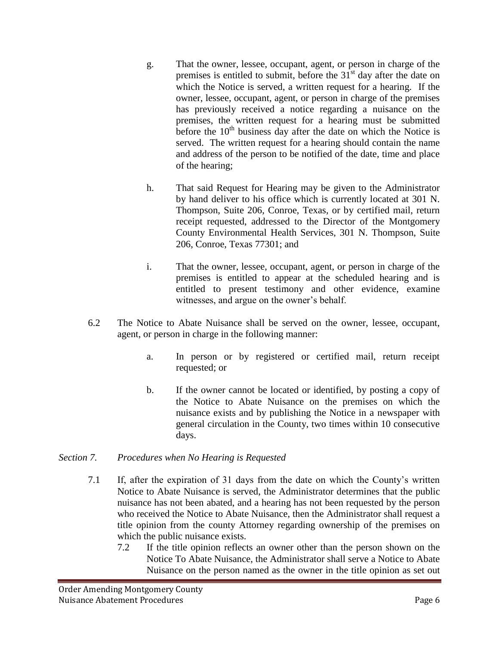- g. That the owner, lessee, occupant, agent, or person in charge of the premises is entitled to submit, before the  $31<sup>st</sup>$  day after the date on which the Notice is served, a written request for a hearing. If the owner, lessee, occupant, agent, or person in charge of the premises has previously received a notice regarding a nuisance on the premises, the written request for a hearing must be submitted before the  $10<sup>th</sup>$  business day after the date on which the Notice is served. The written request for a hearing should contain the name and address of the person to be notified of the date, time and place of the hearing;
- h. That said Request for Hearing may be given to the Administrator by hand deliver to his office which is currently located at 301 N. Thompson, Suite 206, Conroe, Texas, or by certified mail, return receipt requested, addressed to the Director of the Montgomery County Environmental Health Services, 301 N. Thompson, Suite 206, Conroe, Texas 77301; and
- i. That the owner, lessee, occupant, agent, or person in charge of the premises is entitled to appear at the scheduled hearing and is entitled to present testimony and other evidence, examine witnesses, and argue on the owner's behalf.
- 6.2 The Notice to Abate Nuisance shall be served on the owner, lessee, occupant, agent, or person in charge in the following manner:
	- a. In person or by registered or certified mail, return receipt requested; or
	- b. If the owner cannot be located or identified, by posting a copy of the Notice to Abate Nuisance on the premises on which the nuisance exists and by publishing the Notice in a newspaper with general circulation in the County, two times within 10 consecutive days.

## *Section 7. Procedures when No Hearing is Requested*

- 7.1 If, after the expiration of 31 days from the date on which the County's written Notice to Abate Nuisance is served, the Administrator determines that the public nuisance has not been abated, and a hearing has not been requested by the person who received the Notice to Abate Nuisance, then the Administrator shall request a title opinion from the county Attorney regarding ownership of the premises on which the public nuisance exists.
	- 7.2 If the title opinion reflects an owner other than the person shown on the Notice To Abate Nuisance, the Administrator shall serve a Notice to Abate Nuisance on the person named as the owner in the title opinion as set out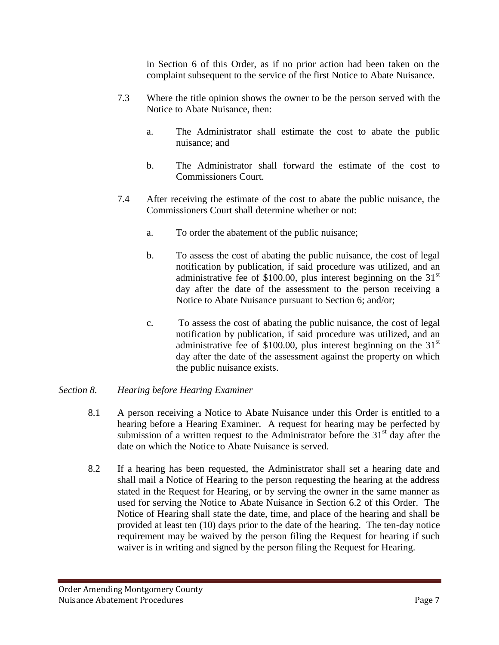in Section 6 of this Order, as if no prior action had been taken on the complaint subsequent to the service of the first Notice to Abate Nuisance.

- 7.3 Where the title opinion shows the owner to be the person served with the Notice to Abate Nuisance, then:
	- a. The Administrator shall estimate the cost to abate the public nuisance; and
	- b. The Administrator shall forward the estimate of the cost to Commissioners Court.
- 7.4 After receiving the estimate of the cost to abate the public nuisance, the Commissioners Court shall determine whether or not:
	- a. To order the abatement of the public nuisance;
	- b. To assess the cost of abating the public nuisance, the cost of legal notification by publication, if said procedure was utilized, and an administrative fee of \$100.00, plus interest beginning on the  $31<sup>st</sup>$ day after the date of the assessment to the person receiving a Notice to Abate Nuisance pursuant to Section 6; and/or;
	- c. To assess the cost of abating the public nuisance, the cost of legal notification by publication, if said procedure was utilized, and an administrative fee of \$100.00, plus interest beginning on the  $31<sup>st</sup>$ day after the date of the assessment against the property on which the public nuisance exists.

# *Section 8. Hearing before Hearing Examiner*

- 8.1 A person receiving a Notice to Abate Nuisance under this Order is entitled to a hearing before a Hearing Examiner. A request for hearing may be perfected by submission of a written request to the Administrator before the  $31<sup>st</sup>$  day after the date on which the Notice to Abate Nuisance is served.
- 8.2 If a hearing has been requested, the Administrator shall set a hearing date and shall mail a Notice of Hearing to the person requesting the hearing at the address stated in the Request for Hearing, or by serving the owner in the same manner as used for serving the Notice to Abate Nuisance in Section 6.2 of this Order. The Notice of Hearing shall state the date, time, and place of the hearing and shall be provided at least ten (10) days prior to the date of the hearing. The ten-day notice requirement may be waived by the person filing the Request for hearing if such waiver is in writing and signed by the person filing the Request for Hearing.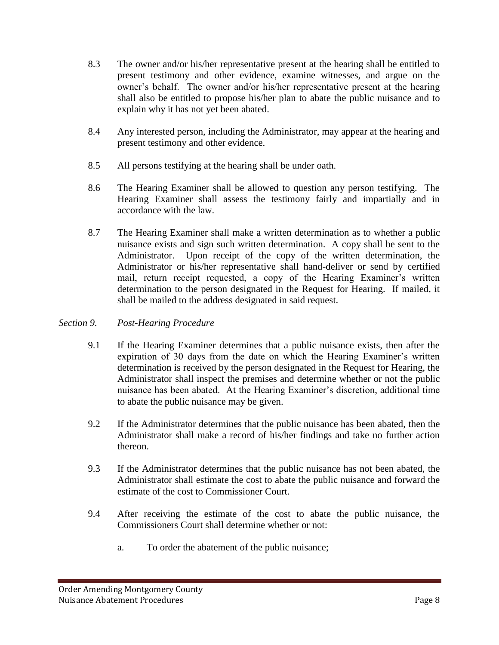- 8.3 The owner and/or his/her representative present at the hearing shall be entitled to present testimony and other evidence, examine witnesses, and argue on the owner's behalf. The owner and/or his/her representative present at the hearing shall also be entitled to propose his/her plan to abate the public nuisance and to explain why it has not yet been abated.
- 8.4 Any interested person, including the Administrator, may appear at the hearing and present testimony and other evidence.
- 8.5 All persons testifying at the hearing shall be under oath.
- 8.6 The Hearing Examiner shall be allowed to question any person testifying. The Hearing Examiner shall assess the testimony fairly and impartially and in accordance with the law.
- 8.7 The Hearing Examiner shall make a written determination as to whether a public nuisance exists and sign such written determination. A copy shall be sent to the Administrator. Upon receipt of the copy of the written determination, the Administrator or his/her representative shall hand-deliver or send by certified mail, return receipt requested, a copy of the Hearing Examiner's written determination to the person designated in the Request for Hearing. If mailed, it shall be mailed to the address designated in said request.

# *Section 9. Post-Hearing Procedure*

- 9.1 If the Hearing Examiner determines that a public nuisance exists, then after the expiration of 30 days from the date on which the Hearing Examiner's written determination is received by the person designated in the Request for Hearing, the Administrator shall inspect the premises and determine whether or not the public nuisance has been abated. At the Hearing Examiner's discretion, additional time to abate the public nuisance may be given.
- 9.2 If the Administrator determines that the public nuisance has been abated, then the Administrator shall make a record of his/her findings and take no further action thereon.
- 9.3 If the Administrator determines that the public nuisance has not been abated, the Administrator shall estimate the cost to abate the public nuisance and forward the estimate of the cost to Commissioner Court.
- 9.4 After receiving the estimate of the cost to abate the public nuisance, the Commissioners Court shall determine whether or not:
	- a. To order the abatement of the public nuisance;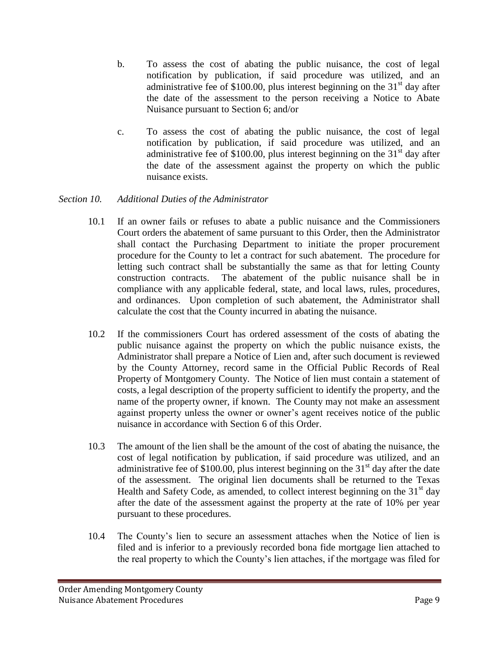- b. To assess the cost of abating the public nuisance, the cost of legal notification by publication, if said procedure was utilized, and an administrative fee of \$100.00, plus interest beginning on the  $31<sup>st</sup>$  day after the date of the assessment to the person receiving a Notice to Abate Nuisance pursuant to Section 6; and/or
- c. To assess the cost of abating the public nuisance, the cost of legal notification by publication, if said procedure was utilized, and an administrative fee of \$100.00, plus interest beginning on the  $31<sup>st</sup>$  day after the date of the assessment against the property on which the public nuisance exists.

# *Section 10. Additional Duties of the Administrator*

- 10.1 If an owner fails or refuses to abate a public nuisance and the Commissioners Court orders the abatement of same pursuant to this Order, then the Administrator shall contact the Purchasing Department to initiate the proper procurement procedure for the County to let a contract for such abatement. The procedure for letting such contract shall be substantially the same as that for letting County construction contracts. The abatement of the public nuisance shall be in compliance with any applicable federal, state, and local laws, rules, procedures, and ordinances. Upon completion of such abatement, the Administrator shall calculate the cost that the County incurred in abating the nuisance.
- 10.2 If the commissioners Court has ordered assessment of the costs of abating the public nuisance against the property on which the public nuisance exists, the Administrator shall prepare a Notice of Lien and, after such document is reviewed by the County Attorney, record same in the Official Public Records of Real Property of Montgomery County. The Notice of lien must contain a statement of costs, a legal description of the property sufficient to identify the property, and the name of the property owner, if known. The County may not make an assessment against property unless the owner or owner's agent receives notice of the public nuisance in accordance with Section 6 of this Order.
- 10.3 The amount of the lien shall be the amount of the cost of abating the nuisance, the cost of legal notification by publication, if said procedure was utilized, and an administrative fee of  $$100.00$ , plus interest beginning on the  $31<sup>st</sup>$  day after the date of the assessment. The original lien documents shall be returned to the Texas Health and Safety Code, as amended, to collect interest beginning on the  $31<sup>st</sup>$  day after the date of the assessment against the property at the rate of 10% per year pursuant to these procedures.
- 10.4 The County's lien to secure an assessment attaches when the Notice of lien is filed and is inferior to a previously recorded bona fide mortgage lien attached to the real property to which the County's lien attaches, if the mortgage was filed for